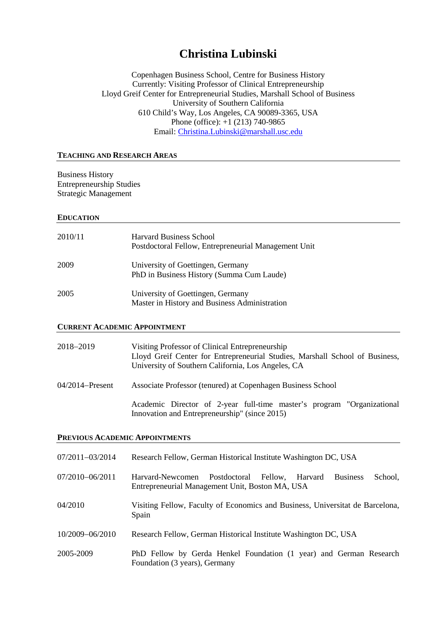# **Christina Lubinski**

Copenhagen Business School, Centre for Business History Currently: Visiting Professor of Clinical Entrepreneurship Lloyd Greif Center for Entrepreneurial Studies, Marshall School of Business University of Southern California 610 Child's Way, Los Angeles, CA 90089-3365, USA Phone (office): +1 (213) 740-9865 Email: [Christina.Lubinski@marshall.usc.edu](mailto:Christina.Lubinski@marshall.usc.edu)

#### **TEACHING AND RESEARCH AREAS**

Business History Entrepreneurship Studies Strategic Management

#### **EDUCATION**

| 2010/11 | <b>Harvard Business School</b><br>Postdoctoral Fellow, Entrepreneurial Management Unit |
|---------|----------------------------------------------------------------------------------------|
| 2009    | University of Goettingen, Germany<br>PhD in Business History (Summa Cum Laude)         |
| 2005    | University of Goettingen, Germany<br>Master in History and Business Administration     |

#### **CURRENT ACADEMIC APPOINTMENT**

| 2018–2019       | Visiting Professor of Clinical Entrepreneurship<br>Lloyd Greif Center for Entrepreneurial Studies, Marshall School of Business,<br>University of Southern California, Los Angeles, CA |
|-----------------|---------------------------------------------------------------------------------------------------------------------------------------------------------------------------------------|
| 04/2014–Present | Associate Professor (tenured) at Copenhagen Business School                                                                                                                           |
|                 | Academic Director of 2-year full-time master's program "Organizational"<br>Innovation and Entrepreneurship" (since 2015)                                                              |

#### **PREVIOUS ACADEMIC APPOINTMENTS**

| 07/2011-03/2014 | Research Fellow, German Historical Institute Washington DC, USA                                                                      |
|-----------------|--------------------------------------------------------------------------------------------------------------------------------------|
| 07/2010-06/2011 | Harvard-Newcomen<br>Postdoctoral Fellow,<br>School,<br><b>Business</b><br>Harvard<br>Entrepreneurial Management Unit, Boston MA, USA |
| 04/2010         | Visiting Fellow, Faculty of Economics and Business, Universitat de Barcelona,<br>Spain                                               |
| 10/2009-06/2010 | Research Fellow, German Historical Institute Washington DC, USA                                                                      |
| 2005-2009       | PhD Fellow by Gerda Henkel Foundation (1 year) and German Research<br>Foundation (3 years), Germany                                  |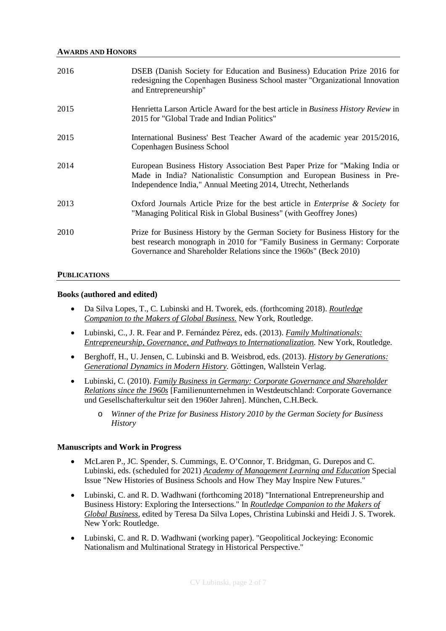| 2016 | DSEB (Danish Society for Education and Business) Education Prize 2016 for<br>redesigning the Copenhagen Business School master "Organizational Innovation"<br>and Entrepreneurship"                                              |
|------|----------------------------------------------------------------------------------------------------------------------------------------------------------------------------------------------------------------------------------|
| 2015 | Henrietta Larson Article Award for the best article in <i>Business History Review</i> in<br>2015 for "Global Trade and Indian Politics"                                                                                          |
| 2015 | International Business' Best Teacher Award of the academic year 2015/2016,<br><b>Copenhagen Business School</b>                                                                                                                  |
| 2014 | European Business History Association Best Paper Prize for "Making India or<br>Made in India? Nationalistic Consumption and European Business in Pre-<br>Independence India," Annual Meeting 2014, Utrecht, Netherlands          |
| 2013 | Oxford Journals Article Prize for the best article in <i>Enterprise</i> & <i>Society</i> for<br>"Managing Political Risk in Global Business" (with Geoffrey Jones)                                                               |
| 2010 | Prize for Business History by the German Society for Business History for the<br>best research monograph in 2010 for "Family Business in Germany: Corporate<br>Governance and Shareholder Relations since the 1960s" (Beck 2010) |

#### **PUBLICATIONS**

#### **Books (authored and edited)**

- Da Silva Lopes, T., C. Lubinski and H. Tworek, eds. (forthcoming 2018). *Routledge Companion to the Makers of Global Business.* New York, Routledge.
- Lubinski, C., J. R. Fear and P. Ferná ndez Pé rez, eds. (2013). *Family Multinationals: Entrepreneurship, Governance, and Pathways to Internationalization.* New York, Routledge*.*
- Berghoff, H., U. Jensen, C. Lubinski and B. Weisbrod, eds. (2013). *History by Generations: Generational Dynamics in Modern History.* Göttingen, Wallstein Verlag.
- Lubinski, C. (2010). *Family Business in Germany: Corporate Governance and Shareholder Relations since the 1960s* [Familienunternehmen in Westdeutschland: Corporate Governance und Gesellschafterkultur seit den 1960er Jahren]. München, C.H.Beck.
	- o *Winner of the Prize for Business History 2010 by the German Society for Business History*

#### **Manuscripts and Work in Progress**

- McLaren P., JC. Spender, S. Cummings, E. O'Connor, T. Bridgman, G. Durepos and C. Lubinski, eds. (scheduled for 2021) *Academy of Management Learning and Education* Special Issue "New Histories of Business Schools and How They May Inspire New Futures."
- Lubinski, C. and R. D. Wadhwani (forthcoming 2018) "International Entrepreneurship and Business History: Exploring the Intersections." In *Routledge Companion to the Makers of Global Business*, edited by Teresa Da Silva Lopes, Christina Lubinski and Heidi J. S. Tworek. New York: Routledge.
- Lubinski, C. and R. D. Wadhwani (working paper). "Geopolitical Jockeying: Economic Nationalism and Multinational Strategy in Historical Perspective."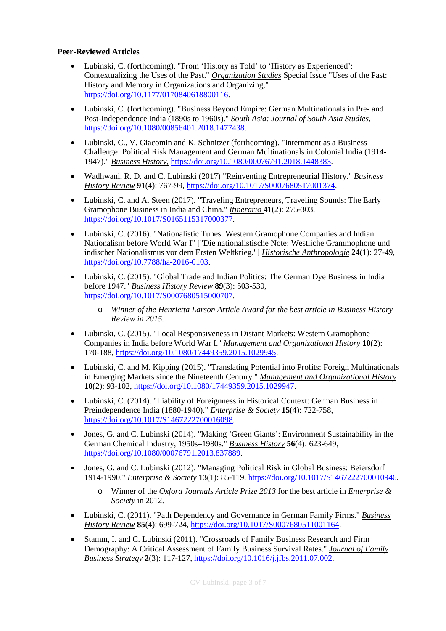### **Peer-Reviewed Articles**

- Lubinski, C. (forthcoming). "From 'History as Told' to 'History as Experienced': Contextualizing the Uses of the Past." *Organization Studies* Special Issue "Uses of the Past: History and Memory in Organizations and Organizing," [https://doi.org/10.1177/0170840618800116.](https://doi.org/10.1177/0170840618800116)
- Lubinski, C. (forthcoming). "Business Beyond Empire: German Multinationals in Pre- and Post-Independence India (1890s to 1960s)." *South Asia: Journal of South Asia Studies*, https://doi.org/10.1080/00856401.2018.1477438.
- Lubinski, C., V. Giacomin and K. Schnitzer (forthcoming). "Internment as a Business Challenge: Political Risk Management and German Multinationals in Colonial India (1914- 1947)." *Business History,* https://doi.org/10.1080/00076791.2018.1448383.
- Wadhwani, R. D. and C. Lubinski (2017) "Reinventing Entrepreneurial History." *Business History Review* **91**(4): 767-99, [https://doi.org/10.1017/S0007680517001374.](https://doi.org/10.1017/S0007680517001374)
- Lubinski, C. and A. Steen (2017). "Traveling Entrepreneurs, Traveling Sounds: The Early Gramophone Business in India and China." *Itinerario* **41**(2): 275-303, [https://doi.org/10.1017/S0165115317000377.](https://doi.org/10.1017/S0165115317000377)
- Lubinski, C. (2016). "Nationalistic Tunes: Western Gramophone Companies and Indian Nationalism before World War I" ["Die nationalistische Note: Westliche Grammophone und indischer Nationalismus vor dem Ersten Weltkrieg."] *Historische Anthropologie* **24**(1): 27-49, [https://doi.org/10.7788/ha-2016-0103.](https://doi.org/10.7788/ha-2016-0103)
- Lubinski, C. (2015). "Global Trade and Indian Politics: The German Dye Business in India before 1947." *Business History Review* **89**(3): 503-530, [https://doi.org/10.1017/S0007680515000707.](https://doi.org/10.1017/S0007680515000707)
	- o *Winner of the Henrietta Larson Article Award for the best article in Business History Review in 2015.*
- Lubinski, C. (2015). "Local Responsiveness in Distant Markets: Western Gramophone Companies in India before World War I." *Management and Organizational History* **10**(2): 170-188, [https://doi.org/10.1080/17449359.2015.1029945.](https://doi.org/10.1080/17449359.2015.1029945)
- Lubinski, C. and M. Kipping (2015). "Translating Potential into Profits: Foreign Multinationals in Emerging Markets since the Nineteenth Century." *Management and Organizational History* **10**(2): 93-102, [https://doi.org/10.1080/17449359.2015.1029947.](https://doi.org/10.1080/17449359.2015.1029947)
- Lubinski, C. (2014). "Liability of Foreignness in Historical Context: German Business in Preindependence India (1880-1940)." *Enterprise & Society* **15**(4): 722-758, [https://doi.org/10.1017/S1467222700016098.](https://doi.org/10.1017/S1467222700016098)
- Jones, G. and C. Lubinski (2014). "Making 'Green Giants': Environment Sustainability in the German Chemical Industry, 1950s–1980s." *Business History* **56**(4): 623-649, [https://doi.org/10.1080/00076791.2013.837889.](https://doi.org/10.1080/00076791.2013.837889)
- Jones, G. and C. Lubinski (2012). "Managing Political Risk in Global Business: Beiersdorf 1914-1990." *Enterprise & Society* **13**(1): 85-119, [https://doi.org/10.1017/S1467222700010946.](https://doi.org/10.1017/S1467222700010946)
	- o Winner of the *Oxford Journals Article Prize 2013* for the best article in *Enterprise & Society* in 2012.
- Lubinski, C. (2011). "Path Dependency and Governance in German Family Firms." *Business History Review* **85**(4): 699-724[, https://doi.org/10.1017/S0007680511001164.](https://doi.org/10.1017/S0007680511001164)
- Stamm, I. and C. Lubinski (2011). "Crossroads of Family Business Research and Firm Demography: A Critical Assessment of Family Business Survival Rates." *Journal of Family Business Strategy* **2**(3): 117-127, [https://doi.org/10.1016/j.jfbs.2011.07.002.](https://doi.org/10.1016/j.jfbs.2011.07.002)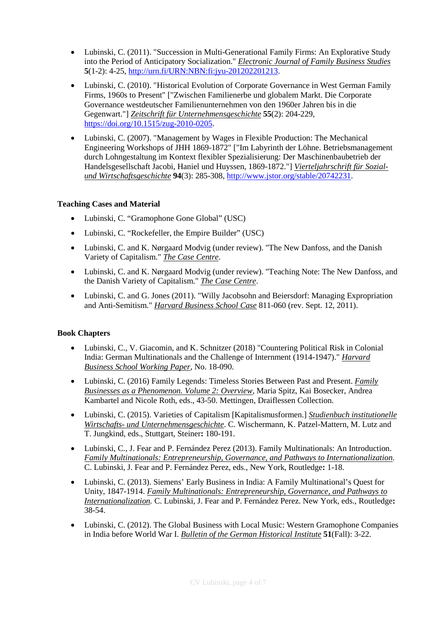- Lubinski, C. (2011). "Succession in Multi-Generational Family Firms: An Explorative Study into the Period of Anticipatory Socialization." *Electronic Journal of Family Business Studies* **5**(1-2): 4-25, [http://urn.fi/URN:NBN:fi:jyu-201202201213.](http://urn.fi/URN:NBN:fi:jyu-201202201213)
- Lubinski, C. (2010). "Historical Evolution of Corporate Governance in West German Family Firms, 1960s to Present" ["Zwischen Familienerbe und globalem Markt. Die Corporate Governance westdeutscher Familienunternehmen von den 1960er Jahren bis in die Gegenwart."] *Zeitschrift für Unternehmensgeschichte* **55**(2): 204-229, [https://doi.org/10.1515/zug-2010-0205.](https://doi.org/10.1515/zug-2010-0205)
- Lubinski, C. (2007). "Management by Wages in Flexible Production: The Mechanical Engineering Workshops of JHH 1869-1872" ["Im Labyrinth der Löhne. Betriebsmanagement durch Lohngestaltung im Kontext flexibler Spezialisierung: Der Maschinenbaubetrieb der Handelsgesellschaft Jacobi, Haniel und Huyssen, 1869-1872."] *Vierteljahrschrift für Sozialund Wirtschaftsgeschichte* **94**(3): 285-308, [http://www.jstor.org/stable/20742231.](http://www.jstor.org/stable/20742231)

### **Teaching Cases and Material**

- Lubinski, C. "Gramophone Gone Global" (USC)
- Lubinski, C. "Rockefeller, the Empire Builder" (USC)
- Lubinski, C. and K. Nørgaard Modvig (under review). "The New Danfoss, and the Danish Variety of Capitalism." *The Case Centre*.
- Lubinski, C. and K. Nørgaard Modvig (under review). "Teaching Note: The New Danfoss, and the Danish Variety of Capitalism." *The Case Centre*.
- Lubinski, C. and G. Jones (2011). "Willy Jacobsohn and Beiersdorf: Managing Expropriation and Anti-Semitism." *Harvard Business School Case* 811-060 (rev. Sept. 12, 2011).

### **Book Chapters**

- Lubinski, C., V. Giacomin, and K. Schnitzer (2018) "Countering Political Risk in Colonial India: German Multinationals and the Challenge of Internment (1914-1947)." *Harvard Business School Working Paper*, No. 18-090.
- Lubinski, C. (2016) Family Legends: Timeless Stories Between Past and Present. *Family Businesses as a Phenomenon. Volume 2: Overview*, Maria Spitz, Kai Bosecker, Andrea Kambartel and Nicole Roth, eds., 43-50. Mettingen, Draiflessen Collection.
- Lubinski, C. (2015). Varieties of Capitalism [Kapitalismusformen.] *Studienbuch institutionelle Wirtschafts- und Unternehmensgeschichte*. C. Wischermann, K. Patzel-Mattern, M. Lutz and T. Jungkind, eds., Stuttgart, Steiner**:** 180-191.
- Lubinski, C., J. Fear and P. Fernández Perez (2013). Family Multinationals: An Introduction. *Family Multinationals: Entrepreneurship, Governance, and Pathways to Internationalization*. C. Lubinski, J. Fear and P. Fernández Perez, eds., New York, Routledge**:** 1-18.
- Lubinski, C. (2013). Siemens' Early Business in India: A Family Multinational's Quest for Unity, 1847-1914. *Family Multinationals: Entrepreneurship, Governance, and Pathways to Internationalization.* C. Lubinski, J. Fear and P. Fernández Perez. New York, eds., Routledge**:**  38-54.
- Lubinski, C. (2012). The Global Business with Local Music: Western Gramophone Companies in India before World War I. *Bulletin of the German Historical Institute* **51**(Fall): 3-22.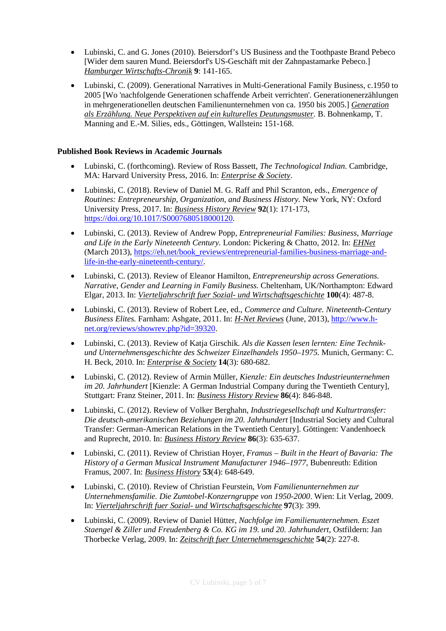- Lubinski, C. and G. Jones (2010). Beiersdorf's US Business and the Toothpaste Brand Pebeco [Wider dem sauren Mund. Beiersdorf's US-Geschäft mit der Zahnpastamarke Pebeco.] *Hamburger Wirtschafts-Chronik* **9**: 141-165.
- Lubinski, C. (2009). Generational Narratives in Multi-Generational Family Business, c.1950 to 2005 [Wo 'nachfolgende Generationen schaffende Arbeit verrichten'. Generationenerzählungen in mehrgenerationellen deutschen Familienunternehmen von ca. 1950 bis 2005.] *Generation als Erzählung. Neue Perspektiven auf ein kulturelles Deutungsmuster.* B. Bohnenkamp, T. Manning and E.-M. Silies, eds., Göttingen, Wallstein**:** 151-168.

### **Published Book Reviews in Academic Journals**

- Lubinski, C. (forthcoming). Review of Ross Bassett, *The Technological Indian.* Cambridge, MA: Harvard University Press, 2016. In: *Enterprise & Society*.
- Lubinski, C. (2018). Review of Daniel M. G. Raff and Phil Scranton, eds., *Emergence of Routines: Entrepreneurship, Organization, and Business History.* New York, NY: Oxford University Press, 2017. In: *Business History Review* **92**(1): 171-173, [https://doi.org/10.1017/S0007680518000120.](https://doi.org/10.1017/S0007680518000120)
- Lubinski, C. (2013). Review of Andrew Popp, *Entrepreneurial Families: Business, Marriage and Life in the Early Nineteenth Century.* London: Pickering & Chatto, 2012. In: *EHNet* (March 2013), [https://eh.net/book\\_reviews/entrepreneurial-families-business-marriage-and](https://eh.net/book_reviews/entrepreneurial-families-business-marriage-and-life-in-the-early-nineteenth-century/)[life-in-the-early-nineteenth-century/.](https://eh.net/book_reviews/entrepreneurial-families-business-marriage-and-life-in-the-early-nineteenth-century/)
- Lubinski, C. (2013). Review of Eleanor Hamilton, *Entrepreneurship across Generations. Narrative, Gender and Learning in Family Business.* Cheltenham, UK/Northampton: Edward Elgar, 2013. In: *Vierteljahrschrift fuer Sozial- und Wirtschaftsgeschichte* **100**(4): 487-8.
- Lubinski, C. (2013). Review of Robert Lee, ed., *Commerce and Culture. Nineteenth-Century Business Elites.* Farnham: Ashgate, 2011. In: *H-Net Reviews* (June, 2013), [http://www.h](http://www.h-net.org/reviews/showrev.php?id=39320)[net.org/reviews/showrev.php?id=39320.](http://www.h-net.org/reviews/showrev.php?id=39320)
- Lubinski, C. (2013). Review of Katja Girschik. *Als die Kassen lesen lernten: Eine Technikund Unternehmensgeschichte des Schweizer Einzelhandels 1950–1975.* Munich, Germany: C. H. Beck, 2010. In: *Enterprise & Society* **14**(3): 680-682.
- Lubinski, C. (2012). Review of Armin Müller, *Kienzle: Ein deutsches Industrieunternehmen im 20. Jahrhundert* [Kienzle: A German Industrial Company during the Twentieth Century], Stuttgart: Franz Steiner, 2011. In: *Business History Review* **86**(4): 846-848.
- Lubinski, C. (2012). Review of Volker Berghahn, *Industriegesellschaft und Kulturtransfer: Die deutsch-amerikanischen Beziehungen im 20. Jahrhundert* [Industrial Society and Cultural Transfer: German-American Relations in the Twentieth Century]. Göttingen: Vandenhoeck and Ruprecht, 2010. In: *Business History Review* **86**(3): 635-637.
- Lubinski, C. (2011). Review of Christian Hoyer, *Framus – Built in the Heart of Bavaria: The History of a German Musical Instrument Manufacturer 1946–1977*, Bubenreuth: Edition Framus, 2007. In: *Business History* **53**(4): 648-649.
- Lubinski, C. (2010). Review of Christian Feurstein, *Vom Familienunternehmen zur Unternehmensfamilie. Die Zumtobel-Konzerngruppe von 1950-2000*. Wien: Lit Verlag, 2009. In: *Vierteljahrschrift fuer Sozial- und Wirtschaftsgeschichte* **97**(3): 399.
- Lubinski, C. (2009). Review of Daniel Hütter, *Nachfolge im Familienunternehmen. Eszet Staengel & Ziller und Freudenberg & Co. KG im 19. und 20. Jahrhundert*, Ostfildern: Jan Thorbecke Verlag, 2009. In: *Zeitschrift fuer Unternehmensgeschichte* **54**(2): 227-8.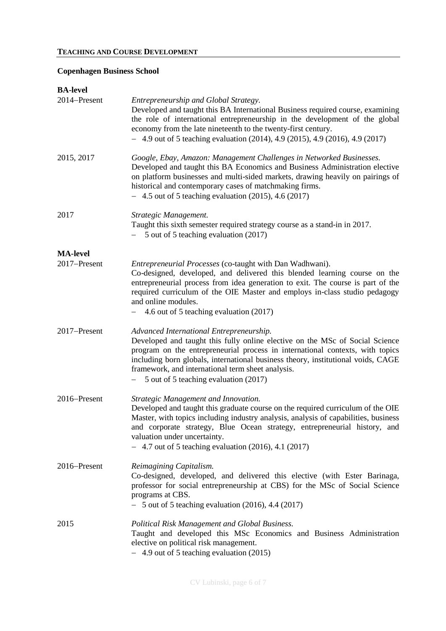## **Copenhagen Business School**

| <b>BA-level</b> |                                                                                                                                                                                                                                                                                                                                                                                             |
|-----------------|---------------------------------------------------------------------------------------------------------------------------------------------------------------------------------------------------------------------------------------------------------------------------------------------------------------------------------------------------------------------------------------------|
| 2014-Present    | Entrepreneurship and Global Strategy.<br>Developed and taught this BA International Business required course, examining<br>the role of international entrepreneurship in the development of the global<br>economy from the late nineteenth to the twenty-first century.<br>$-4.9$ out of 5 teaching evaluation (2014), 4.9 (2015), 4.9 (2016), 4.9 (2017)                                   |
| 2015, 2017      | Google, Ebay, Amazon: Management Challenges in Networked Businesses.<br>Developed and taught this BA Economics and Business Administration elective<br>on platform businesses and multi-sided markets, drawing heavily on pairings of<br>historical and contemporary cases of matchmaking firms.<br>$-4.5$ out of 5 teaching evaluation (2015), 4.6 (2017)                                  |
| 2017            | Strategic Management.<br>Taught this sixth semester required strategy course as a stand-in in 2017.<br>5 out of 5 teaching evaluation (2017)                                                                                                                                                                                                                                                |
| <b>MA-level</b> |                                                                                                                                                                                                                                                                                                                                                                                             |
| 2017-Present    | Entrepreneurial Processes (co-taught with Dan Wadhwani).<br>Co-designed, developed, and delivered this blended learning course on the<br>entrepreneurial process from idea generation to exit. The course is part of the<br>required curriculum of the OIE Master and employs in-class studio pedagogy<br>and online modules.<br>- 4.6 out of 5 teaching evaluation (2017)                  |
| 2017-Present    | Advanced International Entrepreneurship.<br>Developed and taught this fully online elective on the MSc of Social Science<br>program on the entrepreneurial process in international contexts, with topics<br>including born globals, international business theory, institutional voids, CAGE<br>framework, and international term sheet analysis.<br>5 out of 5 teaching evaluation (2017) |
| 2016–Present    | Strategic Management and Innovation.<br>Developed and taught this graduate course on the required curriculum of the OIE<br>Master, with topics including industry analysis, analysis of capabilities, business<br>and corporate strategy, Blue Ocean strategy, entrepreneurial history, and<br>valuation under uncertainty.<br>$-4.7$ out of 5 teaching evaluation (2016), 4.1 (2017)       |
| 2016–Present    | Reimagining Capitalism.<br>Co-designed, developed, and delivered this elective (with Ester Barinaga,<br>professor for social entrepreneurship at CBS) for the MSc of Social Science<br>programs at CBS.<br>$-5$ out of 5 teaching evaluation (2016), 4.4 (2017)                                                                                                                             |
| 2015            | Political Risk Management and Global Business.<br>Taught and developed this MSc Economics and Business Administration<br>elective on political risk management.<br>- 4.9 out of 5 teaching evaluation (2015)                                                                                                                                                                                |